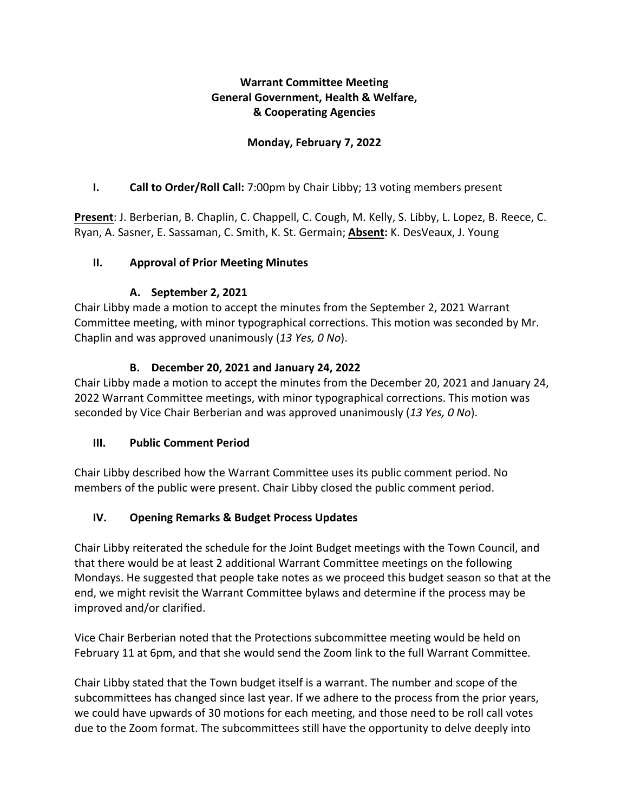## **Warrant Committee Meeting General Government, Health & Welfare, & Cooperating Agencies**

## **Monday, February 7, 2022**

### **I. Call to Order/Roll Call:** 7:00pm by Chair Libby; 13 voting members present

**Present**: J. Berberian, B. Chaplin, C. Chappell, C. Cough, M. Kelly, S. Libby, L. Lopez, B. Reece, C. Ryan, A. Sasner, E. Sassaman, C. Smith, K. St. Germain; **Absent:** K. DesVeaux, J. Young

#### **II. Approval of Prior Meeting Minutes**

#### **A. September 2, 2021**

Chair Libby made a motion to accept the minutes from the September 2, 2021 Warrant Committee meeting, with minor typographical corrections. This motion was seconded by Mr. Chaplin and was approved unanimously (*13 Yes, 0 No*).

#### **B. December 20, 2021 and January 24, 2022**

Chair Libby made a motion to accept the minutes from the December 20, 2021 and January 24, 2022 Warrant Committee meetings, with minor typographical corrections. This motion was seconded by Vice Chair Berberian and was approved unanimously (*13 Yes, 0 No*).

## **III. Public Comment Period**

Chair Libby described how the Warrant Committee uses its public comment period. No members of the public were present. Chair Libby closed the public comment period.

## **IV. Opening Remarks & Budget Process Updates**

Chair Libby reiterated the schedule for the Joint Budget meetings with the Town Council, and that there would be at least 2 additional Warrant Committee meetings on the following Mondays. He suggested that people take notes as we proceed this budget season so that at the end, we might revisit the Warrant Committee bylaws and determine if the process may be improved and/or clarified.

Vice Chair Berberian noted that the Protections subcommittee meeting would be held on February 11 at 6pm, and that she would send the Zoom link to the full Warrant Committee.

Chair Libby stated that the Town budget itself is a warrant. The number and scope of the subcommittees has changed since last year. If we adhere to the process from the prior years, we could have upwards of 30 motions for each meeting, and those need to be roll call votes due to the Zoom format. The subcommittees still have the opportunity to delve deeply into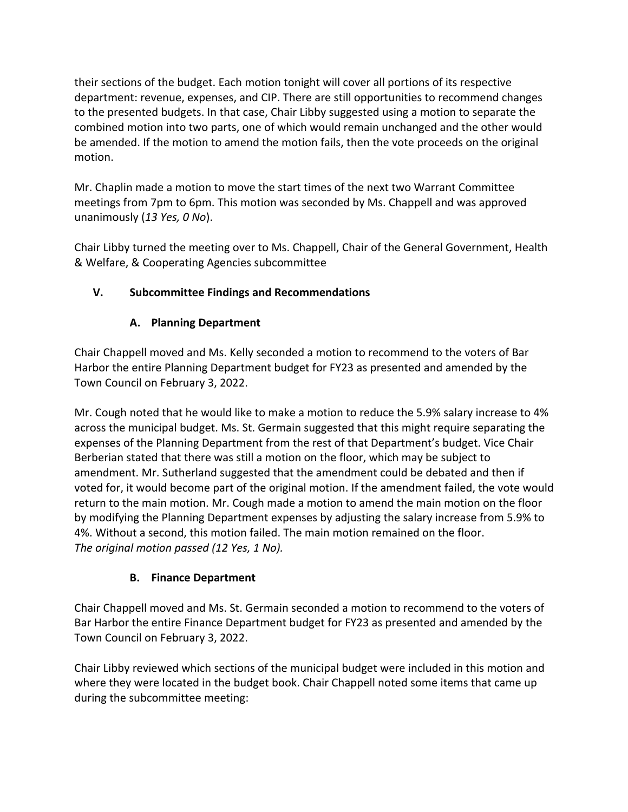their sections of the budget. Each motion tonight will cover all portions of its respective department: revenue, expenses, and CIP. There are still opportunities to recommend changes to the presented budgets. In that case, Chair Libby suggested using a motion to separate the combined motion into two parts, one of which would remain unchanged and the other would be amended. If the motion to amend the motion fails, then the vote proceeds on the original motion.

Mr. Chaplin made a motion to move the start times of the next two Warrant Committee meetings from 7pm to 6pm. This motion was seconded by Ms. Chappell and was approved unanimously (*13 Yes, 0 No*).

Chair Libby turned the meeting over to Ms. Chappell, Chair of the General Government, Health & Welfare, & Cooperating Agencies subcommittee

# **V. Subcommittee Findings and Recommendations**

# **A. Planning Department**

Chair Chappell moved and Ms. Kelly seconded a motion to recommend to the voters of Bar Harbor the entire Planning Department budget for FY23 as presented and amended by the Town Council on February 3, 2022.

Mr. Cough noted that he would like to make a motion to reduce the 5.9% salary increase to 4% across the municipal budget. Ms. St. Germain suggested that this might require separating the expenses of the Planning Department from the rest of that Department's budget. Vice Chair Berberian stated that there was still a motion on the floor, which may be subject to amendment. Mr. Sutherland suggested that the amendment could be debated and then if voted for, it would become part of the original motion. If the amendment failed, the vote would return to the main motion. Mr. Cough made a motion to amend the main motion on the floor by modifying the Planning Department expenses by adjusting the salary increase from 5.9% to 4%. Without a second, this motion failed. The main motion remained on the floor. *The original motion passed (12 Yes, 1 No).*

# **B. Finance Department**

Chair Chappell moved and Ms. St. Germain seconded a motion to recommend to the voters of Bar Harbor the entire Finance Department budget for FY23 as presented and amended by the Town Council on February 3, 2022.

Chair Libby reviewed which sections of the municipal budget were included in this motion and where they were located in the budget book. Chair Chappell noted some items that came up during the subcommittee meeting: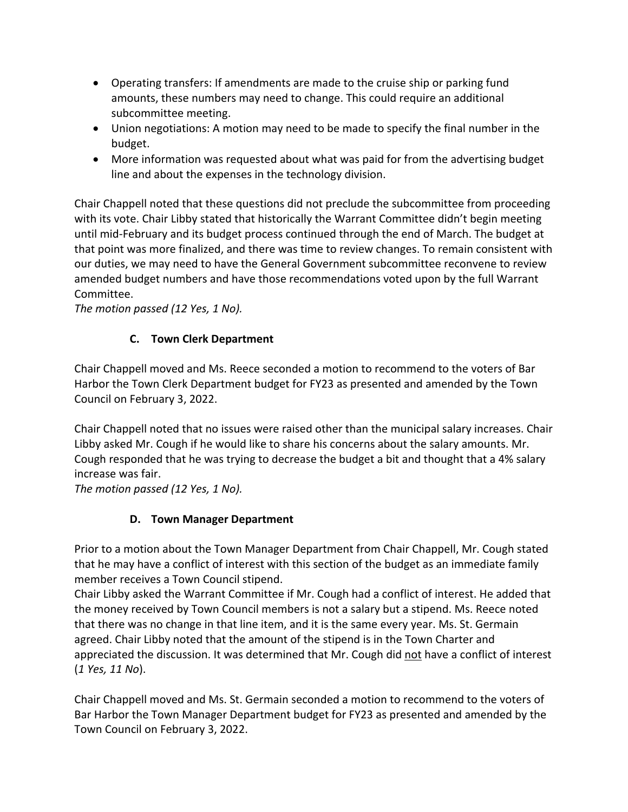- Operating transfers: If amendments are made to the cruise ship or parking fund amounts, these numbers may need to change. This could require an additional subcommittee meeting.
- Union negotiations: A motion may need to be made to specify the final number in the budget.
- More information was requested about what was paid for from the advertising budget line and about the expenses in the technology division.

Chair Chappell noted that these questions did not preclude the subcommittee from proceeding with its vote. Chair Libby stated that historically the Warrant Committee didn't begin meeting until mid-February and its budget process continued through the end of March. The budget at that point was more finalized, and there was time to review changes. To remain consistent with our duties, we may need to have the General Government subcommittee reconvene to review amended budget numbers and have those recommendations voted upon by the full Warrant Committee.

*The motion passed (12 Yes, 1 No).*

# **C. Town Clerk Department**

Chair Chappell moved and Ms. Reece seconded a motion to recommend to the voters of Bar Harbor the Town Clerk Department budget for FY23 as presented and amended by the Town Council on February 3, 2022.

Chair Chappell noted that no issues were raised other than the municipal salary increases. Chair Libby asked Mr. Cough if he would like to share his concerns about the salary amounts. Mr. Cough responded that he was trying to decrease the budget a bit and thought that a 4% salary increase was fair.

*The motion passed (12 Yes, 1 No).*

# **D. Town Manager Department**

Prior to a motion about the Town Manager Department from Chair Chappell, Mr. Cough stated that he may have a conflict of interest with this section of the budget as an immediate family member receives a Town Council stipend.

Chair Libby asked the Warrant Committee if Mr. Cough had a conflict of interest. He added that the money received by Town Council members is not a salary but a stipend. Ms. Reece noted that there was no change in that line item, and it is the same every year. Ms. St. Germain agreed. Chair Libby noted that the amount of the stipend is in the Town Charter and appreciated the discussion. It was determined that Mr. Cough did not have a conflict of interest (*1 Yes, 11 No*).

Chair Chappell moved and Ms. St. Germain seconded a motion to recommend to the voters of Bar Harbor the Town Manager Department budget for FY23 as presented and amended by the Town Council on February 3, 2022.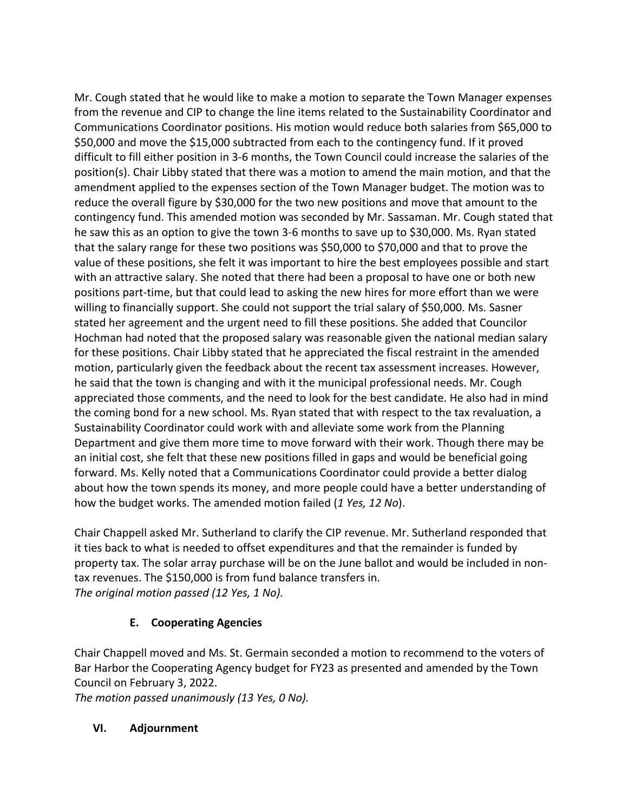Mr. Cough stated that he would like to make a motion to separate the Town Manager expenses from the revenue and CIP to change the line items related to the Sustainability Coordinator and Communications Coordinator positions. His motion would reduce both salaries from \$65,000 to \$50,000 and move the \$15,000 subtracted from each to the contingency fund. If it proved difficult to fill either position in 3-6 months, the Town Council could increase the salaries of the position(s). Chair Libby stated that there was a motion to amend the main motion, and that the amendment applied to the expenses section of the Town Manager budget. The motion was to reduce the overall figure by \$30,000 for the two new positions and move that amount to the contingency fund. This amended motion was seconded by Mr. Sassaman. Mr. Cough stated that he saw this as an option to give the town 3-6 months to save up to \$30,000. Ms. Ryan stated that the salary range for these two positions was \$50,000 to \$70,000 and that to prove the value of these positions, she felt it was important to hire the best employees possible and start with an attractive salary. She noted that there had been a proposal to have one or both new positions part-time, but that could lead to asking the new hires for more effort than we were willing to financially support. She could not support the trial salary of \$50,000. Ms. Sasner stated her agreement and the urgent need to fill these positions. She added that Councilor Hochman had noted that the proposed salary was reasonable given the national median salary for these positions. Chair Libby stated that he appreciated the fiscal restraint in the amended motion, particularly given the feedback about the recent tax assessment increases. However, he said that the town is changing and with it the municipal professional needs. Mr. Cough appreciated those comments, and the need to look for the best candidate. He also had in mind the coming bond for a new school. Ms. Ryan stated that with respect to the tax revaluation, a Sustainability Coordinator could work with and alleviate some work from the Planning Department and give them more time to move forward with their work. Though there may be an initial cost, she felt that these new positions filled in gaps and would be beneficial going forward. Ms. Kelly noted that a Communications Coordinator could provide a better dialog about how the town spends its money, and more people could have a better understanding of how the budget works. The amended motion failed (*1 Yes, 12 No*).

Chair Chappell asked Mr. Sutherland to clarify the CIP revenue. Mr. Sutherland responded that it ties back to what is needed to offset expenditures and that the remainder is funded by property tax. The solar array purchase will be on the June ballot and would be included in nontax revenues. The \$150,000 is from fund balance transfers in. *The original motion passed (12 Yes, 1 No).*

# **E. Cooperating Agencies**

Chair Chappell moved and Ms. St. Germain seconded a motion to recommend to the voters of Bar Harbor the Cooperating Agency budget for FY23 as presented and amended by the Town Council on February 3, 2022.

*The motion passed unanimously (13 Yes, 0 No).*

# **VI. Adjournment**